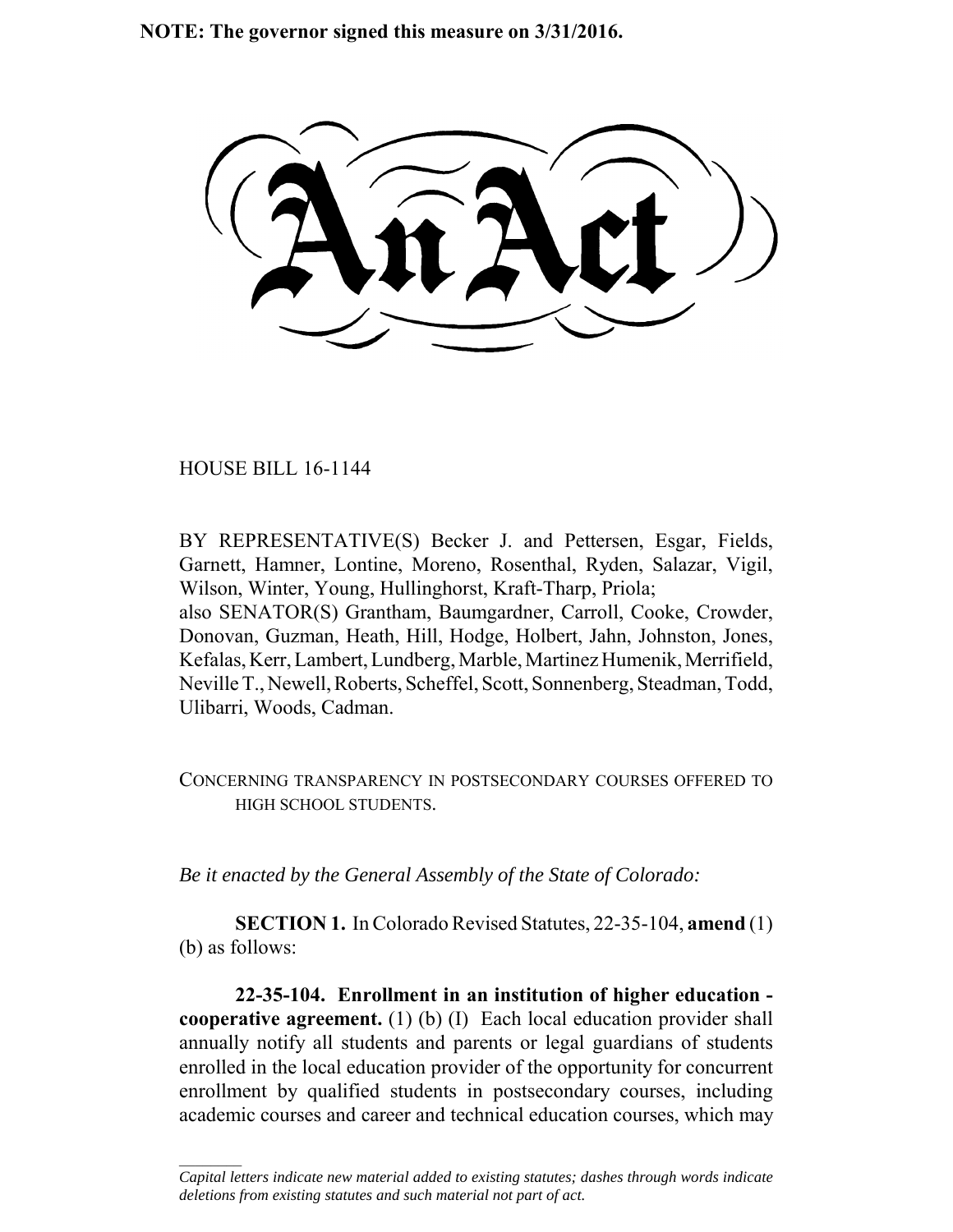**NOTE: The governor signed this measure on 3/31/2016.**

HOUSE BILL 16-1144

 $\frac{1}{2}$ 

BY REPRESENTATIVE(S) Becker J. and Pettersen, Esgar, Fields, Garnett, Hamner, Lontine, Moreno, Rosenthal, Ryden, Salazar, Vigil, Wilson, Winter, Young, Hullinghorst, Kraft-Tharp, Priola; also SENATOR(S) Grantham, Baumgardner, Carroll, Cooke, Crowder, Donovan, Guzman, Heath, Hill, Hodge, Holbert, Jahn, Johnston, Jones, Kefalas, Kerr, Lambert, Lundberg, Marble, Martinez Humenik, Merrifield, Neville T., Newell, Roberts, Scheffel, Scott, Sonnenberg, Steadman, Todd, Ulibarri, Woods, Cadman.

CONCERNING TRANSPARENCY IN POSTSECONDARY COURSES OFFERED TO HIGH SCHOOL STUDENTS.

*Be it enacted by the General Assembly of the State of Colorado:*

**SECTION 1.** In Colorado Revised Statutes, 22-35-104, **amend** (1) (b) as follows:

**22-35-104. Enrollment in an institution of higher education cooperative agreement.** (1) (b) (I) Each local education provider shall annually notify all students and parents or legal guardians of students enrolled in the local education provider of the opportunity for concurrent enrollment by qualified students in postsecondary courses, including academic courses and career and technical education courses, which may

*Capital letters indicate new material added to existing statutes; dashes through words indicate deletions from existing statutes and such material not part of act.*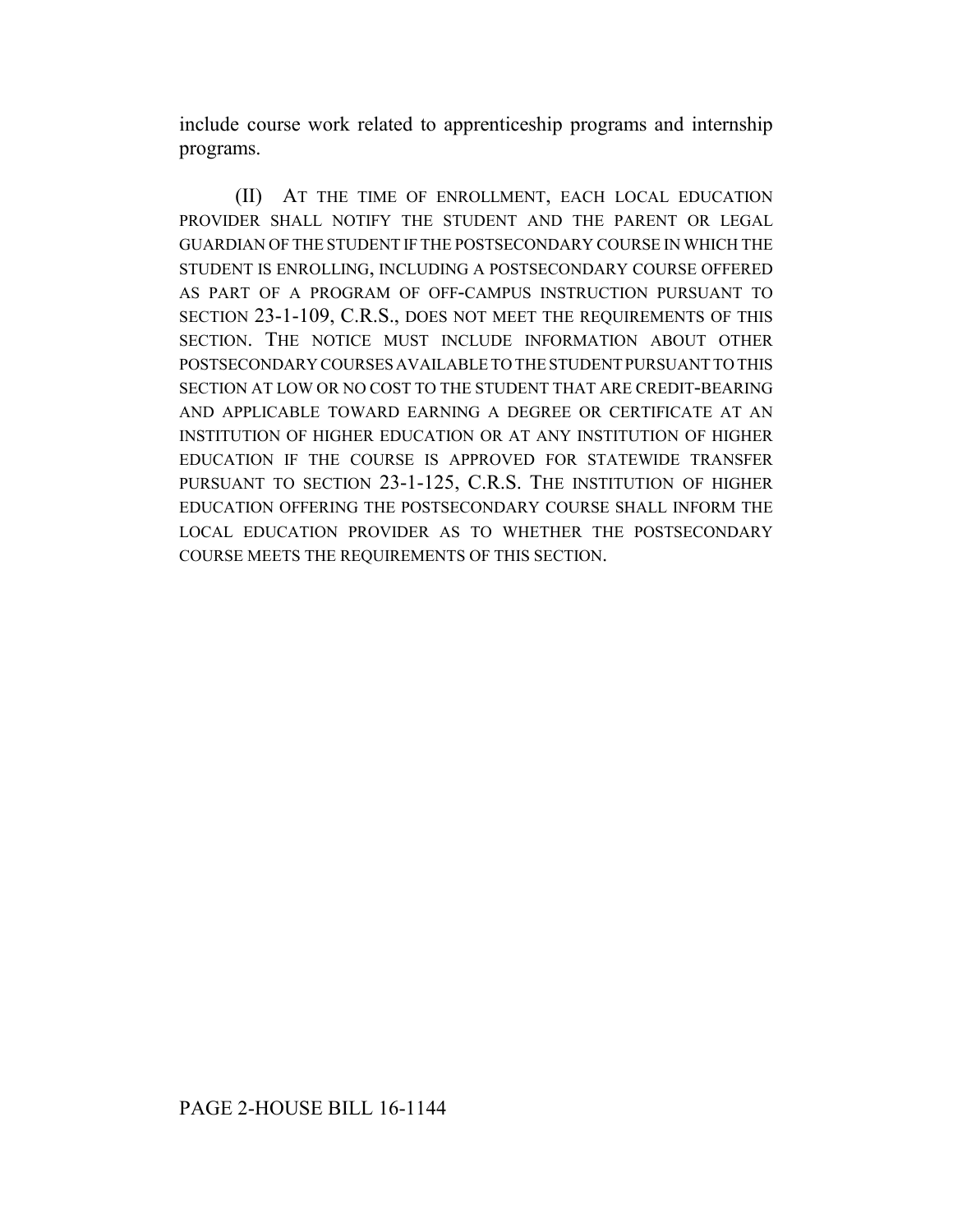include course work related to apprenticeship programs and internship programs.

(II) AT THE TIME OF ENROLLMENT, EACH LOCAL EDUCATION PROVIDER SHALL NOTIFY THE STUDENT AND THE PARENT OR LEGAL GUARDIAN OF THE STUDENT IF THE POSTSECONDARY COURSE IN WHICH THE STUDENT IS ENROLLING, INCLUDING A POSTSECONDARY COURSE OFFERED AS PART OF A PROGRAM OF OFF-CAMPUS INSTRUCTION PURSUANT TO SECTION 23-1-109, C.R.S., DOES NOT MEET THE REQUIREMENTS OF THIS SECTION. THE NOTICE MUST INCLUDE INFORMATION ABOUT OTHER POSTSECONDARY COURSES AVAILABLE TO THE STUDENT PURSUANT TO THIS SECTION AT LOW OR NO COST TO THE STUDENT THAT ARE CREDIT-BEARING AND APPLICABLE TOWARD EARNING A DEGREE OR CERTIFICATE AT AN INSTITUTION OF HIGHER EDUCATION OR AT ANY INSTITUTION OF HIGHER EDUCATION IF THE COURSE IS APPROVED FOR STATEWIDE TRANSFER PURSUANT TO SECTION 23-1-125, C.R.S. THE INSTITUTION OF HIGHER EDUCATION OFFERING THE POSTSECONDARY COURSE SHALL INFORM THE LOCAL EDUCATION PROVIDER AS TO WHETHER THE POSTSECONDARY COURSE MEETS THE REQUIREMENTS OF THIS SECTION.